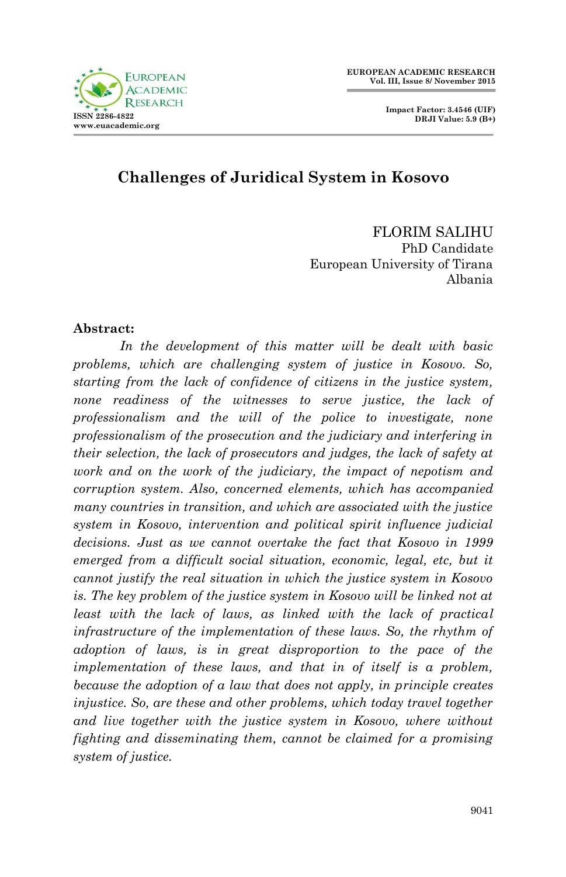

 **Impact Factor: 3.4546 (UIF) DRJI Value: 5.9 (B+)**

## **Challenges of Juridical System in Kosovo**

FLORIM SALIHU PhD Candidate European University of Tirana Albania

#### **Abstract:**

*In the development of this matter will be dealt with basic problems, which are challenging system of justice in Kosovo. So, starting from the lack of confidence of citizens in the justice system, none readiness of the witnesses to serve justice, the lack of professionalism and the will of the police to investigate, none professionalism of the prosecution and the judiciary and interfering in their selection, the lack of prosecutors and judges, the lack of safety at work and on the work of the judiciary, the impact of nepotism and corruption system. Also, concerned elements, which has accompanied many countries in transition, and which are associated with the justice system in Kosovo, intervention and political spirit influence judicial decisions. Just as we cannot overtake the fact that Kosovo in 1999 emerged from a difficult social situation, economic, legal, etc, but it cannot justify the real situation in which the justice system in Kosovo is. The key problem of the justice system in Kosovo will be linked not at least with the lack of laws, as linked with the lack of practical infrastructure of the implementation of these laws.* So, the rhythm of *adoption of laws, is in great disproportion to the pace of the implementation of these laws, and that in of itself is a problem, because the adoption of a law that does not apply, in principle creates injustice.* So, are these and other problems, which today travel together *and live together with the justice system in Kosovo, where without fighting and disseminating them, cannot be claimed for a promising system of justice.*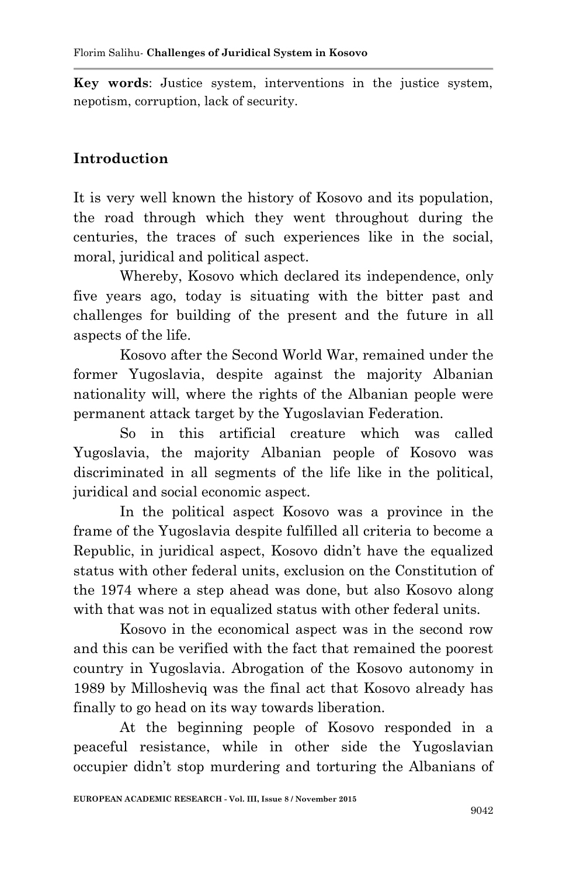**Key words**: Justice system, interventions in the justice system, nepotism, corruption, lack of security.

# **Introduction**

It is very well known the history of Kosovo and its population, the road through which they went throughout during the centuries, the traces of such experiences like in the social, moral, juridical and political aspect.

Whereby, Kosovo which declared its independence, only five years ago, today is situating with the bitter past and challenges for building of the present and the future in all aspects of the life.

Kosovo after the Second World War, remained under the former Yugoslavia, despite against the majority Albanian nationality will, where the rights of the Albanian people were permanent attack target by the Yugoslavian Federation.

So in this artificial creature which was called Yugoslavia, the majority Albanian people of Kosovo was discriminated in all segments of the life like in the political, juridical and social economic aspect.

In the political aspect Kosovo was a province in the frame of the Yugoslavia despite fulfilled all criteria to become a Republic, in juridical aspect, Kosovo didn't have the equalized status with other federal units, exclusion on the Constitution of the 1974 where a step ahead was done, but also Kosovo along with that was not in equalized status with other federal units.

Kosovo in the economical aspect was in the second row and this can be verified with the fact that remained the poorest country in Yugoslavia. Abrogation of the Kosovo autonomy in 1989 by Millosheviq was the final act that Kosovo already has finally to go head on its way towards liberation.

At the beginning people of Kosovo responded in a peaceful resistance, while in other side the Yugoslavian occupier didn't stop murdering and torturing the Albanians of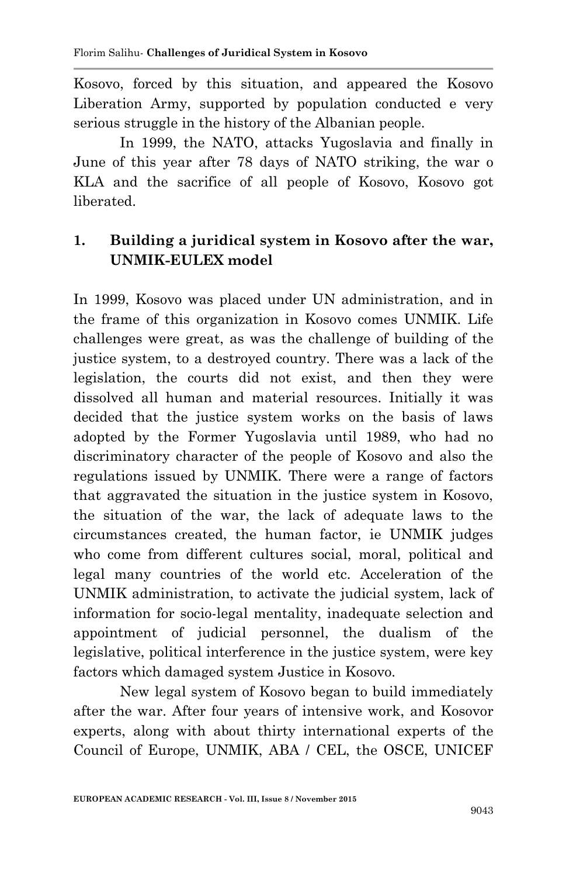Kosovo, forced by this situation, and appeared the Kosovo Liberation Army, supported by population conducted e very serious struggle in the history of the Albanian people.

In 1999, the NATO, attacks Yugoslavia and finally in June of this year after 78 days of NATO striking, the war o KLA and the sacrifice of all people of Kosovo, Kosovo got liberated.

## **1. Building a juridical system in Kosovo after the war, UNMIK-EULEX model**

In 1999, Kosovo was placed under UN administration, and in the frame of this organization in Kosovo comes UNMIK. Life challenges were great, as was the challenge of building of the justice system, to a destroyed country. There was a lack of the legislation, the courts did not exist, and then they were dissolved all human and material resources. Initially it was decided that the justice system works on the basis of laws adopted by the Former Yugoslavia until 1989, who had no discriminatory character of the people of Kosovo and also the regulations issued by UNMIK. There were a range of factors that aggravated the situation in the justice system in Kosovo, the situation of the war, the lack of adequate laws to the circumstances created, the human factor, ie UNMIK judges who come from different cultures social, moral, political and legal many countries of the world etc. Acceleration of the UNMIK administration, to activate the judicial system, lack of information for socio-legal mentality, inadequate selection and appointment of judicial personnel, the dualism of the legislative, political interference in the justice system, were key factors which damaged system Justice in Kosovo.

New legal system of Kosovo began to build immediately after the war. After four years of intensive work, and Kosovor experts, along with about thirty international experts of the Council of Europe, UNMIK, ABA / CEL, the OSCE, UNICEF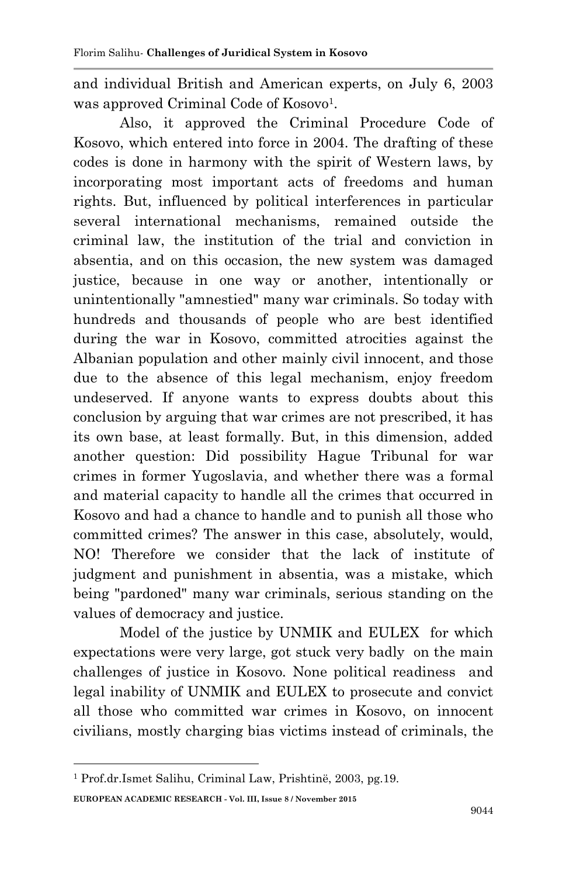and individual British and American experts, on July 6, 2003 was approved Criminal Code of Kosovo<sup>1</sup>.

Also, it approved the Criminal Procedure Code of Kosovo, which entered into force in 2004. The drafting of these codes is done in harmony with the spirit of Western laws, by incorporating most important acts of freedoms and human rights. But, influenced by political interferences in particular several international mechanisms, remained outside the criminal law, the institution of the trial and conviction in absentia, and on this occasion, the new system was damaged justice, because in one way or another, intentionally or unintentionally "amnestied" many war criminals. So today with hundreds and thousands of people who are best identified during the war in Kosovo, committed atrocities against the Albanian population and other mainly civil innocent, and those due to the absence of this legal mechanism, enjoy freedom undeserved. If anyone wants to express doubts about this conclusion by arguing that war crimes are not prescribed, it has its own base, at least formally. But, in this dimension, added another question: Did possibility Hague Tribunal for war crimes in former Yugoslavia, and whether there was a formal and material capacity to handle all the crimes that occurred in Kosovo and had a chance to handle and to punish all those who committed crimes? The answer in this case, absolutely, would, NO! Therefore we consider that the lack of institute of judgment and punishment in absentia, was a mistake, which being "pardoned" many war criminals, serious standing on the values of democracy and justice.

Model of the justice by UNMIK and EULEX for which expectations were very large, got stuck very badly on the main challenges of justice in Kosovo. None political readiness and legal inability of UNMIK and EULEX to prosecute and convict all those who committed war crimes in Kosovo, on innocent civilians, mostly charging bias victims instead of criminals, the

**.** 

**EUROPEAN ACADEMIC RESEARCH - Vol. III, Issue 8 / November 2015** <sup>1</sup> Prof.dr.Ismet Salihu, Criminal Law, Prishtinë, 2003, pg.19.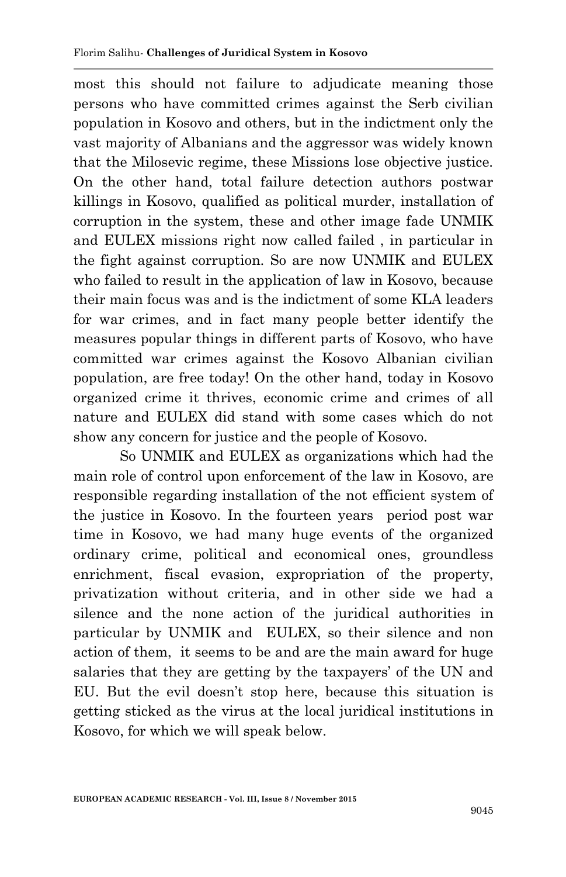most this should not failure to adjudicate meaning those persons who have committed crimes against the Serb civilian population in Kosovo and others, but in the indictment only the vast majority of Albanians and the aggressor was widely known that the Milosevic regime, these Missions lose objective justice. On the other hand, total failure detection authors postwar killings in Kosovo, qualified as political murder, installation of corruption in the system, these and other image fade UNMIK and EULEX missions right now called failed , in particular in the fight against corruption. So are now UNMIK and EULEX who failed to result in the application of law in Kosovo, because their main focus was and is the indictment of some KLA leaders for war crimes, and in fact many people better identify the measures popular things in different parts of Kosovo, who have committed war crimes against the Kosovo Albanian civilian population, are free today! On the other hand, today in Kosovo organized crime it thrives, economic crime and crimes of all nature and EULEX did stand with some cases which do not show any concern for justice and the people of Kosovo.

So UNMIK and EULEX as organizations which had the main role of control upon enforcement of the law in Kosovo, are responsible regarding installation of the not efficient system of the justice in Kosovo. In the fourteen years period post war time in Kosovo, we had many huge events of the organized ordinary crime, political and economical ones, groundless enrichment, fiscal evasion, expropriation of the property, privatization without criteria, and in other side we had a silence and the none action of the juridical authorities in particular by UNMIK and EULEX, so their silence and non action of them, it seems to be and are the main award for huge salaries that they are getting by the taxpayers' of the UN and EU. But the evil doesn't stop here, because this situation is getting sticked as the virus at the local juridical institutions in Kosovo, for which we will speak below.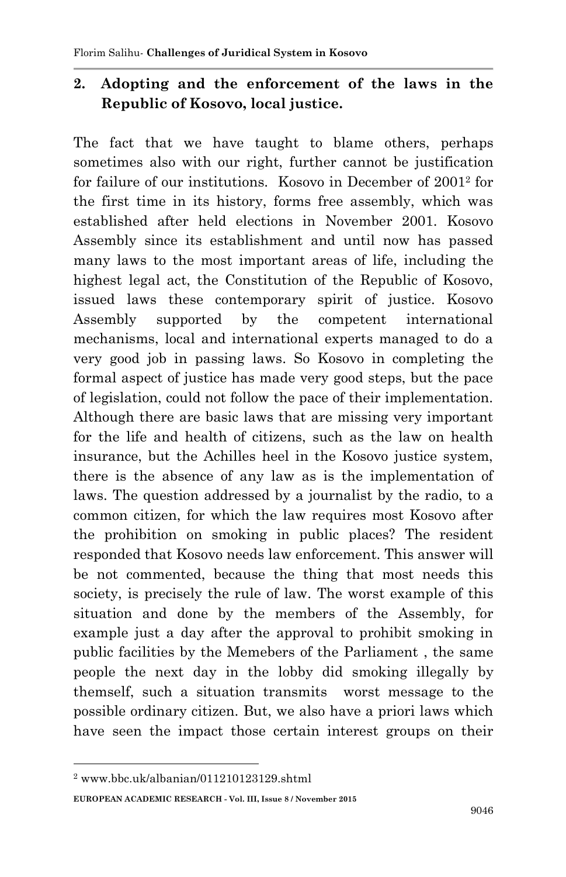#### **2. Adopting and the enforcement of the laws in the Republic of Kosovo, local justice.**

The fact that we have taught to blame others, perhaps sometimes also with our right, further cannot be justification for failure of our institutions. Kosovo in December of 2001<sup>2</sup> for the first time in its history, forms free assembly, which was established after held elections in November 2001. Kosovo Assembly since its establishment and until now has passed many laws to the most important areas of life, including the highest legal act, the Constitution of the Republic of Kosovo, issued laws these contemporary spirit of justice. Kosovo Assembly supported by the competent international mechanisms, local and international experts managed to do a very good job in passing laws. So Kosovo in completing the formal aspect of justice has made very good steps, but the pace of legislation, could not follow the pace of their implementation. Although there are basic laws that are missing very important for the life and health of citizens, such as the law on health insurance, but the Achilles heel in the Kosovo justice system, there is the absence of any law as is the implementation of laws. The question addressed by a journalist by the radio, to a common citizen, for which the law requires most Kosovo after the prohibition on smoking in public places? The resident responded that Kosovo needs law enforcement. This answer will be not commented, because the thing that most needs this society, is precisely the rule of law. The worst example of this situation and done by the members of the Assembly, for example just a day after the approval to prohibit smoking in public facilities by the Memebers of the Parliament , the same people the next day in the lobby did smoking illegally by themself, such a situation transmits worst message to the possible ordinary citizen. But, we also have a priori laws which have seen the impact those certain interest groups on their

**.** 

<sup>2</sup> www.bbc.uk/albanian/011210123129.shtml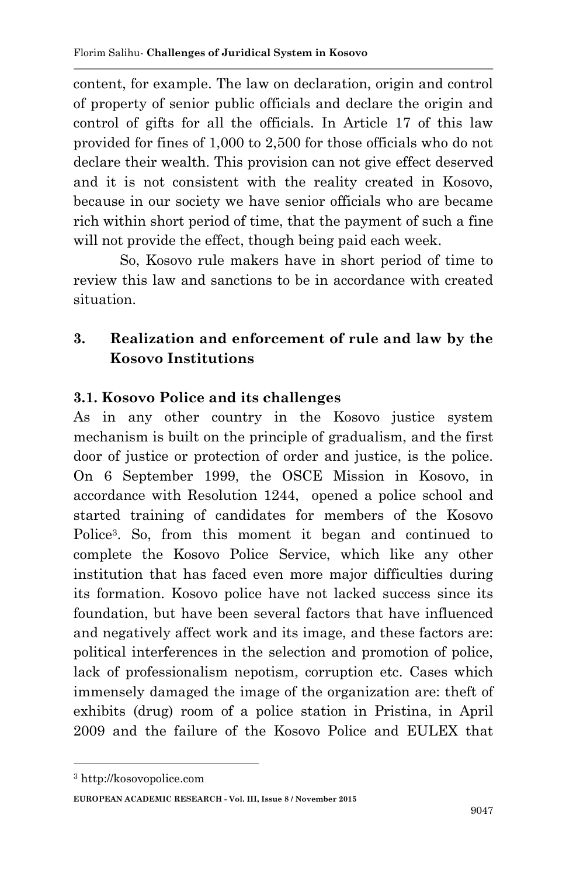content, for example. The law on declaration, origin and control of property of senior public officials and declare the origin and control of gifts for all the officials. In Article 17 of this law provided for fines of 1,000 to 2,500 for those officials who do not declare their wealth. This provision can not give effect deserved and it is not consistent with the reality created in Kosovo, because in our society we have senior officials who are became rich within short period of time, that the payment of such a fine will not provide the effect, though being paid each week.

So, Kosovo rule makers have in short period of time to review this law and sanctions to be in accordance with created situation.

# **3. Realization and enforcement of rule and law by the Kosovo Institutions**

#### **3.1. Kosovo Police and its challenges**

As in any other country in the Kosovo justice system mechanism is built on the principle of gradualism, and the first door of justice or protection of order and justice, is the police. On 6 September 1999, the OSCE Mission in Kosovo, in accordance with Resolution 1244, opened a police school and started training of candidates for members of the Kosovo Police<sup>3</sup> . So, from this moment it began and continued to complete the Kosovo Police Service, which like any other institution that has faced even more major difficulties during its formation. Kosovo police have not lacked success since its foundation, but have been several factors that have influenced and negatively affect work and its image, and these factors are: political interferences in the selection and promotion of police, lack of professionalism nepotism, corruption etc. Cases which immensely damaged the image of the organization are: theft of exhibits (drug) room of a police station in Pristina, in April 2009 and the failure of the Kosovo Police and EULEX that

**.** 

<sup>3</sup> http://kosovopolice.com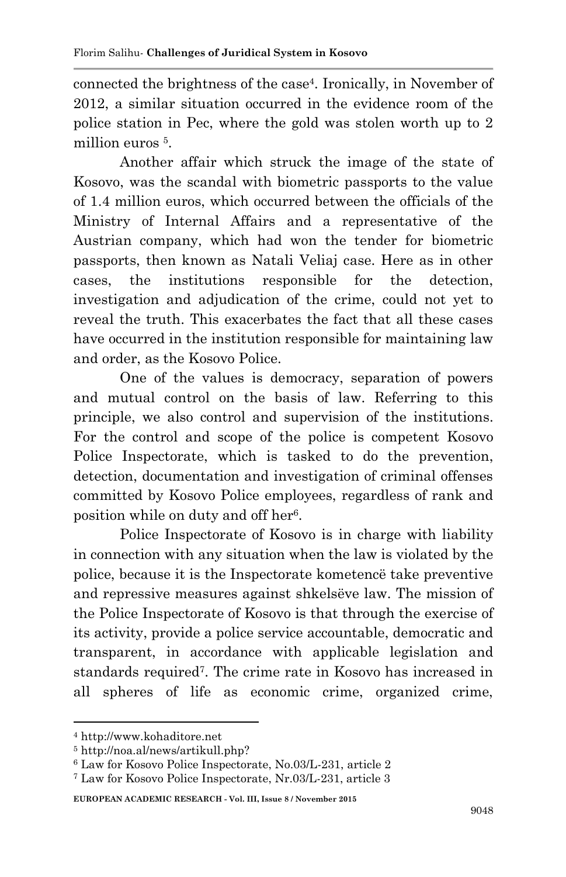connected the brightness of the case<sup>4</sup> . Ironically, in November of 2012, a similar situation occurred in the evidence room of the police station in Pec, where the gold was stolen worth up to 2 million euros <sup>5</sup>.

Another affair which struck the image of the state of Kosovo, was the scandal with biometric passports to the value of 1.4 million euros, which occurred between the officials of the Ministry of Internal Affairs and a representative of the Austrian company, which had won the tender for biometric passports, then known as Natali Veliaj case. Here as in other cases, the institutions responsible for the detection, investigation and adjudication of the crime, could not yet to reveal the truth. This exacerbates the fact that all these cases have occurred in the institution responsible for maintaining law and order, as the Kosovo Police.

One of the values is democracy, separation of powers and mutual control on the basis of law. Referring to this principle, we also control and supervision of the institutions. For the control and scope of the police is competent Kosovo Police Inspectorate, which is tasked to do the prevention, detection, documentation and investigation of criminal offenses committed by Kosovo Police employees, regardless of rank and position while on duty and off her<sup>6</sup> .

Police Inspectorate of Kosovo is in charge with liability in connection with any situation when the law is violated by the police, because it is the Inspectorate kometencë take preventive and repressive measures against shkelsëve law. The mission of the Police Inspectorate of Kosovo is that through the exercise of its activity, provide a police service accountable, democratic and transparent, in accordance with applicable legislation and standards required<sup>7</sup> . The crime rate in Kosovo has increased in all spheres of life as economic crime, organized crime,

**.** 

<sup>4</sup> http://www.kohaditore.net

<sup>5</sup> http://noa.al/news/artikull.php?

<sup>6</sup> Law for Kosovo Police Inspectorate, No.03/L-231, article 2

<sup>7</sup> Law for Kosovo Police Inspectorate, Nr.03/L-231, article 3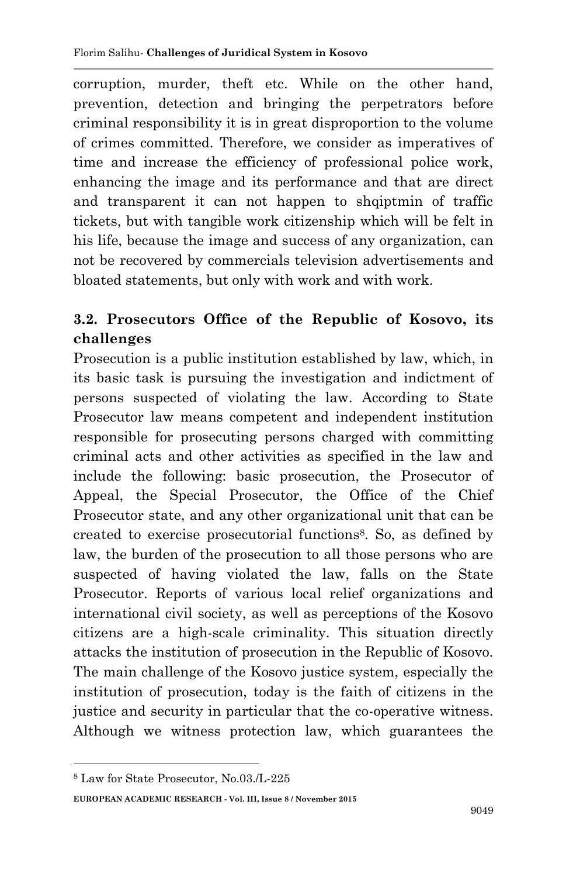corruption, murder, theft etc. While on the other hand, prevention, detection and bringing the perpetrators before criminal responsibility it is in great disproportion to the volume of crimes committed. Therefore, we consider as imperatives of time and increase the efficiency of professional police work, enhancing the image and its performance and that are direct and transparent it can not happen to shqiptmin of traffic tickets, but with tangible work citizenship which will be felt in his life, because the image and success of any organization, can not be recovered by commercials television advertisements and bloated statements, but only with work and with work.

# **3.2. Prosecutors Office of the Republic of Kosovo, its challenges**

Prosecution is a public institution established by law, which, in its basic task is pursuing the investigation and indictment of persons suspected of violating the law. According to State Prosecutor law means competent and independent institution responsible for prosecuting persons charged with committing criminal acts and other activities as specified in the law and include the following: basic prosecution, the Prosecutor of Appeal, the Special Prosecutor, the Office of the Chief Prosecutor state, and any other organizational unit that can be created to exercise prosecutorial functions<sup>8</sup> . So, as defined by law, the burden of the prosecution to all those persons who are suspected of having violated the law, falls on the State Prosecutor. Reports of various local relief organizations and international civil society, as well as perceptions of the Kosovo citizens are a high-scale criminality. This situation directly attacks the institution of prosecution in the Republic of Kosovo. The main challenge of the Kosovo justice system, especially the institution of prosecution, today is the faith of citizens in the justice and security in particular that the co-operative witness. Although we witness protection law, which guarantees the

**.** 

<sup>8</sup> Law for State Prosecutor, No.03./L-225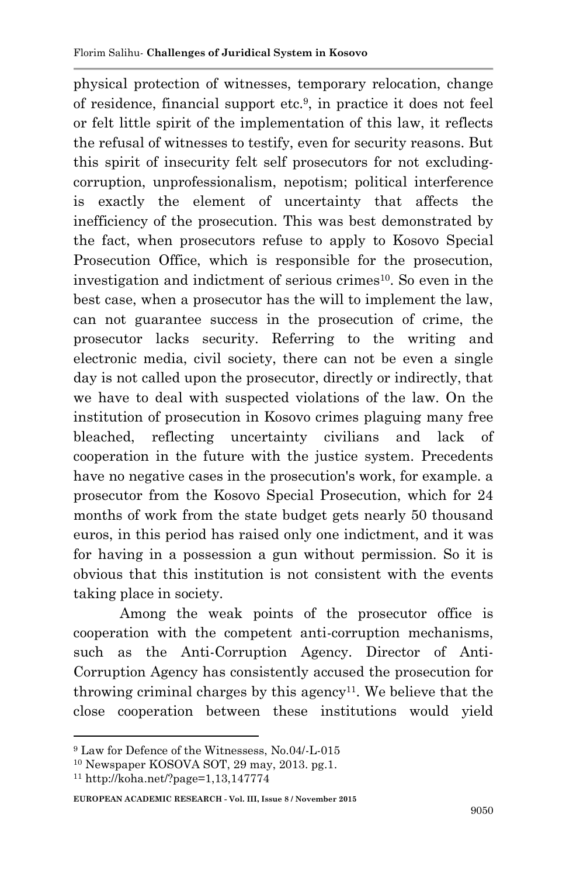physical protection of witnesses, temporary relocation, change of residence, financial support etc.<sup>9</sup> , in practice it does not feel or felt little spirit of the implementation of this law, it reflects the refusal of witnesses to testify, even for security reasons. But this spirit of insecurity felt self prosecutors for not excludingcorruption, unprofessionalism, nepotism; political interference is exactly the element of uncertainty that affects the inefficiency of the prosecution. This was best demonstrated by the fact, when prosecutors refuse to apply to Kosovo Special Prosecution Office, which is responsible for the prosecution, investigation and indictment of serious crimes<sup>10</sup>. So even in the best case, when a prosecutor has the will to implement the law, can not guarantee success in the prosecution of crime, the prosecutor lacks security. Referring to the writing and electronic media, civil society, there can not be even a single day is not called upon the prosecutor, directly or indirectly, that we have to deal with suspected violations of the law. On the institution of prosecution in Kosovo crimes plaguing many free bleached, reflecting uncertainty civilians and lack of cooperation in the future with the justice system. Precedents have no negative cases in the prosecution's work, for example. a prosecutor from the Kosovo Special Prosecution, which for 24 months of work from the state budget gets nearly 50 thousand euros, in this period has raised only one indictment, and it was for having in a possession a gun without permission. So it is obvious that this institution is not consistent with the events taking place in society.

Among the weak points of the prosecutor office is cooperation with the competent anti-corruption mechanisms, such as the Anti-Corruption Agency. Director of Anti-Corruption Agency has consistently accused the prosecution for throwing criminal charges by this agency<sup>11</sup>. We believe that the close cooperation between these institutions would yield

1

<sup>&</sup>lt;sup>9</sup> Law for Defence of the Witnessess, No.04/-L-015

<sup>10</sup> Newspaper KOSOVA SOT, 29 may, 2013. pg.1.

<sup>11</sup> http://koha.net/?page=1,13,147774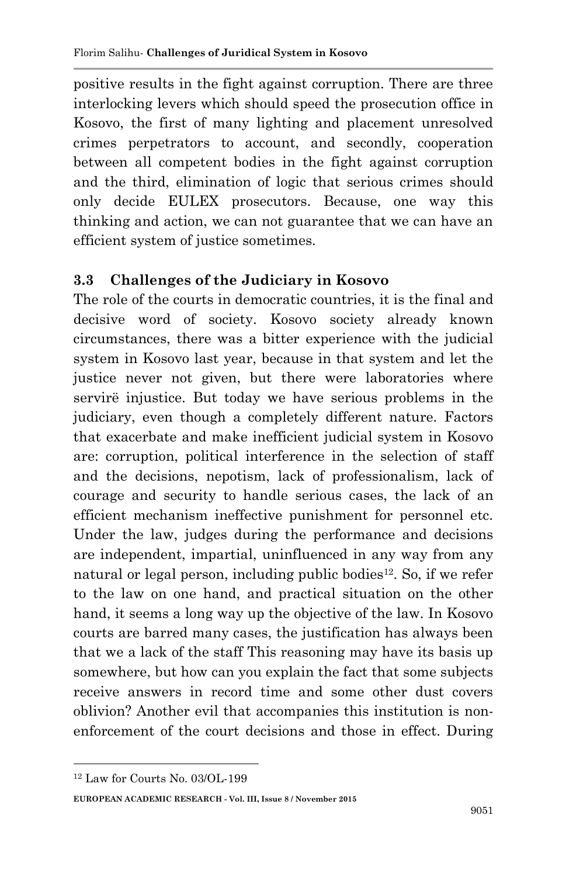positive results in the fight against corruption. There are three interlocking levers which should speed the prosecution office in Kosovo, the first of many lighting and placement unresolved crimes perpetrators to account, and secondly, cooperation between all competent bodies in the fight against corruption and the third, elimination of logic that serious crimes should only decide EULEX prosecutors. Because, one way this thinking and action, we can not guarantee that we can have an efficient system of justice sometimes.

#### **3.3 Challenges of the Judiciary in Kosovo**

The role of the courts in democratic countries, it is the final and decisive word of society. Kosovo society already known circumstances, there was a bitter experience with the judicial system in Kosovo last year, because in that system and let the justice never not given, but there were laboratories where servirë injustice. But today we have serious problems in the judiciary, even though a completely different nature. Factors that exacerbate and make inefficient judicial system in Kosovo are: corruption, political interference in the selection of staff and the decisions, nepotism, lack of professionalism, lack of courage and security to handle serious cases, the lack of an efficient mechanism ineffective punishment for personnel etc. Under the law, judges during the performance and decisions are independent, impartial, uninfluenced in any way from any natural or legal person, including public bodies<sup>12</sup>. So, if we refer to the law on one hand, and practical situation on the other hand, it seems a long way up the objective of the law. In Kosovo courts are barred many cases, the justification has always been that we a lack of the staff This reasoning may have its basis up somewhere, but how can you explain the fact that some subjects receive answers in record time and some other dust covers oblivion? Another evil that accompanies this institution is nonenforcement of the court decisions and those in effect. During

**.** 

<sup>12</sup> Law for Courts No. 03/OL-199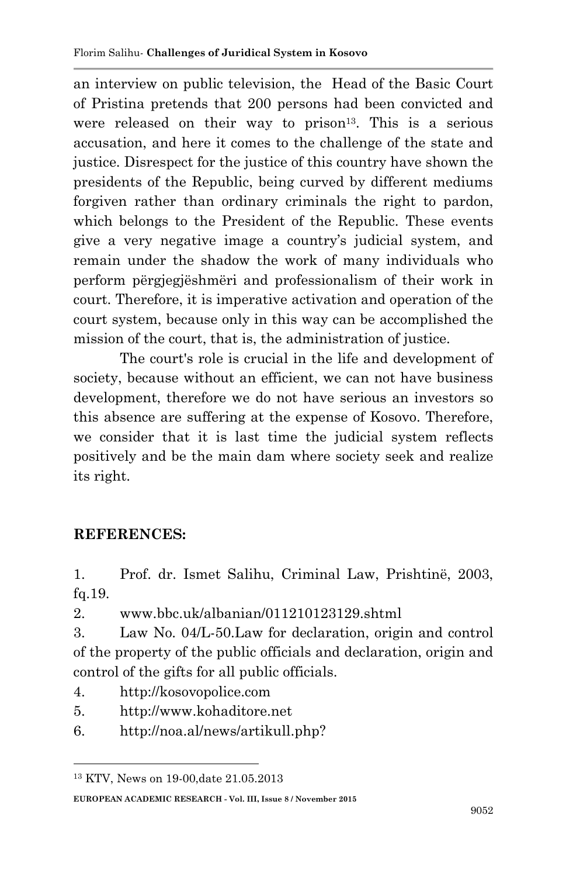an interview on public television, the Head of the Basic Court of Pristina pretends that 200 persons had been convicted and were released on their way to prison<sup>13</sup>. This is a serious accusation, and here it comes to the challenge of the state and justice. Disrespect for the justice of this country have shown the presidents of the Republic, being curved by different mediums forgiven rather than ordinary criminals the right to pardon, which belongs to the President of the Republic. These events give a very negative image a country's judicial system, and remain under the shadow the work of many individuals who perform përgjegjëshmëri and professionalism of their work in court. Therefore, it is imperative activation and operation of the court system, because only in this way can be accomplished the mission of the court, that is, the administration of justice.

The court's role is crucial in the life and development of society, because without an efficient, we can not have business development, therefore we do not have serious an investors so this absence are suffering at the expense of Kosovo. Therefore, we consider that it is last time the judicial system reflects positively and be the main dam where society seek and realize its right.

#### **REFERENCES:**

**.** 

1. Prof. dr. Ismet Salihu, Criminal Law, Prishtinë, 2003, fq.19.

2. www.bbc.uk/albanian/011210123129.shtml

3. Law No. 04/L-50.Law for declaration, origin and control of the property of the public officials and declaration, origin and control of the gifts for all public officials.

- 4. http://kosovopolice.com
- 5. http://www.kohaditore.net
- 6. http://noa.al/news/artikull.php?

<sup>13</sup> KTV, News on 19-00,date 21.05.2013